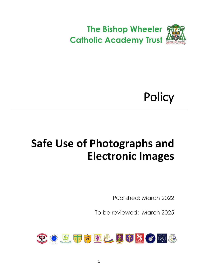

# **Policy**

# <span id="page-0-0"></span>**Safe Use of Photographs and Electronic Images**

Published: March 2022

To be reviewed: March 2025

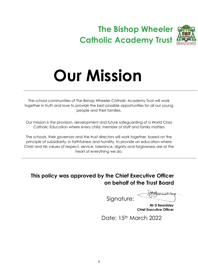## **The Bishop Wheeler Catholic Academy Trust**



The school communities of The Bishop Wheeler Catholic Academy Trust will work together in truth and love to provide the best possible opportunities for all our young people and their families.

Our mission is the provision, development and future safeguarding of a World Class Catholic Education where every child, member of staff and family matters

The schools, their governors and the trust directors will work together, based on the principle of subsidiarity, in faithfulness and humility, to provide an education where Christ and His values of respect, service, tolerance, dignity and forgiveness are at the heart of everything we do.

### **This policy was approved by the Chief Executive Officer on behalf of the Trust Board**

Signature:

ecuelite

 **Mr D Beardsley Chief Executive Officer**

Date: 15th March 2022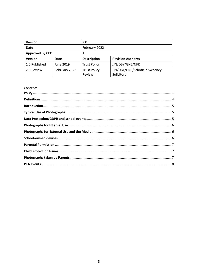| <b>Version</b>         |               | 2.0                 |                               |
|------------------------|---------------|---------------------|-------------------------------|
| <b>Date</b>            |               | February 2022       |                               |
| <b>Approved by CEO</b> |               |                     |                               |
| <b>Version</b>         | Date          | <b>Description</b>  | <b>Revision Author/s</b>      |
| 1.0 Published          | June 2019     | <b>Trust Policy</b> | JJN/DBY/GNE/NFR               |
| 2.0 Review             | February 2022 | <b>Trust Policy</b> | JJN/DBY/GNE/Schofield Sweeney |
|                        |               | Review              | Solicitors                    |

### Contents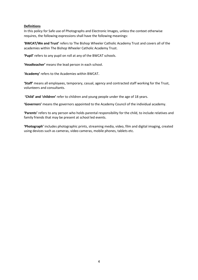#### <span id="page-3-0"></span>**Definitions**

In this policy for Safe use of Photographs and Electronic Images, unless the context otherwise requires, the following expressions shall have the following meanings:

**'BWCAT/We and Trust'** refers to The Bishop Wheeler Catholic Academy Trust and covers all of the academies within The Bishop Wheeler Catholic Academy Trust.

**'Pupil'** refers to any pupil on roll at any of the BWCAT schools.

**'Headteacher'** means the lead person in each school.

**'Academy'** refers to the Academies within BWCAT.

**'Staff'** means all employees, temporary, casual, agency and contracted staff working for the Trust, volunteers and consultants.

**'Child' and 'children'** refer to children and young people under the age of 18 years.

**'Governors'** means the governors appointed to the Academy Council of the individual academy.

**'Parents'** refers to any person who holds parental responsibility for the child, to include relatives and family friends that may be present at school led events.

**'Photograph'** includes photographic prints, streaming media, video, film and digital imaging, created using devices such as cameras, video cameras, mobile phones, tablets etc.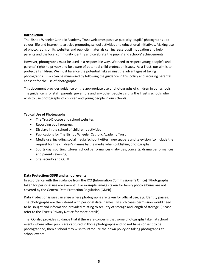#### <span id="page-4-0"></span>**Introduction**

The Bishop Wheeler Catholic Academy Trust welcomes positive publicity, pupils' photographs add colour, life and interest to articles promoting school activities and educational initiatives. Making use of photographs on its websites and publicity materials can increase pupil motivation and help parents and the local community identify and celebrate the pupils' and schools' achievements.

However, photographs must be used in a responsible way. We need to respect young people's and parents' rights to privacy and be aware of potential child protection issues. As a Trust, our aim is to protect all children. We must balance the potential risks against the advantages of taking photographs. Risks can be minimised by following the guidance in this policy and securing parental consent for the use of photographs.

This document provides guidance on the appropriate use of photographs of children in our schools. The guidance is for staff, parents, governors and any other people visiting the Trust's schools who wish to use photographs of children and young people in our schools.

#### <span id="page-4-1"></span>**Typical Use of Photographs**

- The Trust/Diocese and school websites
- Recording pupil progress
- Displays in the school of children's activities
- Publications for The Bishop Wheeler Catholic Academy Trust
- Media use, including social media (school twitter), newspapers and television (to include the request for the children's names by the media when publishing photographs)
- Sports day, sporting fixtures, school performances (nativities, concerts, drama performances and parents evening)
- Site security and CCTV

#### <span id="page-4-2"></span>**Data Protection/GDPR and school events**

In accordance with the guidance from the ICO (Information Commissioner's Office) "Photographs taken for personal use are exempt". For example, images taken for family photo albums are not covered by the General Data Protection Regulation (GDPR)

Data Protection issues can arise where photographs are taken for official use, e.g. Identity passes. The photographs are then stored with personal data (names). In such cases permission would need to be sought and information provided relating to security of storage and length of storage. (Please refer to the Trust's Privacy Notice for more details).

The ICO also provides guidance that if there are concerns that some photographs taken at school events where other pupils are captured in those photographs and do not have consent to be photographed, then a school may wish to introduce their own policy on taking photographs at school events.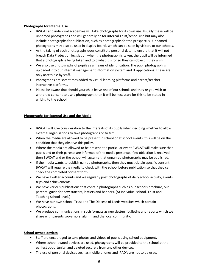#### <span id="page-5-0"></span>**Photographs for Internal Use**

- BWCAT and individual academies will take photographs for its own use. Usually these will be unnamed photographs and will generally be for internal Trust/school use but may also include photographs for publication, such as photographs for the prospectus. Unnamed photographs may also be used in display boards which can be seen by visitors to our schools.
- As the taking of such photographs does constitute personal data, to ensure that it will not breach Data Protection legislation when the photograph is taken, the pupil will be informed that a photograph is being taken and told what it is for so they can object if they wish.
- We also use photographs of pupils as a means of identification. The pupil photograph is uploaded into our internal management information system and IT applications. These are only accessible by staff.
- Photographs are sometimes added to virtual learning platforms and parent/teacher interactive platforms.
- Please be aware that should your child leave one of our schools and they or you wish to withdraw consent to use a photograph, then it will be necessary for this to be stated in writing to the school.

#### <span id="page-5-1"></span>**Photographs for External Use and the Media**

- BWCAT will give consideration to the interests of its pupils when deciding whether to allow external organisations to take photographs or to film.
- When the media are allowed to be present in school or at school events, this will be on the condition that they observe this policy.
- Where the media are allowed to be present at a particular event BWCAT will make sure that pupils and or their parents are informed of the media presence. If no objection is received, then BWCAT and or the school will assume that unnamed photographs may be published.
- If the media wants to publish named photographs, then they must obtain specific consent. BWCAT will require the media to check with the school before publication so that they can check the completed consent form.
- We have Twitter accounts and we regularly post photographs of daily school activity, events, trips and achievements.
- We have various publications that contain photographs such as our schools brochure, our parental guide for new starters, leaflets and banners. (At individual school, Trust and Teaching School levels)
- We have our own school, Trust and The Diocese of Leeds websites which contain photographs.
- We produce communications in such formats as newsletters, bulletins and reports which we share with parents, governors, alumni and the local community.

#### <span id="page-5-2"></span>**School-owned devices**

- Staff are encouraged to take photos and videos of pupils using school equipment.
- Where school-owned devices are used, photographs will be provided to the school at the earliest opportunity, and deleted securely from any other devices.
- The use of personal devices such as mobile phones and IPAD's are not to be used.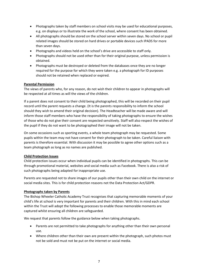- Photographs taken by staff members on school visits may be used for educational purposes, e.g. on displays or to illustrate the work of the school, where consent has been obtained.
- All photographs should be stored on the school server within seven days. No school or pupil related images should be stored on hard drives or portable devices such IPADS for more than seven days.
- Photographs and videos held on the school's drive are accessible to staff only.
- Photographs should not be used other than for their original purpose, unless permission is obtained.
- Photographs must be destroyed or deleted from the databases once they are no longer required for the purpose for which they were taken e.g. a photograph for ID purposes should not be retained when replaced or expired.

#### <span id="page-6-0"></span>**Parental Permission**

The views of parents who, for any reason, do not wish their children to appear in photographs will be respected at all times as will the views of the children.

If a parent does not consent to their child being photographed, this will be recorded on their pupil record until the parent requests a change. (It is the parents responsibility to inform the school should they wish to amend their original decision). The Headteacher will be made aware and will inform those staff members who have the responsibility of taking photographs to ensure the wishes of those who do not give their consent are respected sensitively. Staff will also respect the wishes of the pupil if they do not want to be photographed their image will not be taken.

On some occasions such as sporting events, a whole team photograph may be requested. Some pupils within the team may not have consent for their photograph to be taken. Careful liaison with parents is therefore essential. With discussion it may be possible to agree other options such as a team photograph as long as no names are published.

#### <span id="page-6-1"></span>**Child Protection Issues**

Child protection issues occur when individual pupils can be identified in photographs. This can be through promotional material, websites and social media such as Facebook. There is also a risk of such photographs being adapted for inappropriate use.

Parents are requested not to share images of our pupils other than their own child on the internet or social media sites. This is for child protection reasons not the Data Protection Act/GDPR.

#### <span id="page-6-2"></span>**Photographs taken by Parents**

The Bishop Wheeler Catholic Academy Trust recognises that capturing memorable moments of your child's life at school is very important for parents and their children. With this in mind each school within the Trust will adopt the following processes to enable those memorable moments are captured whilst ensuring all children are safeguarded.

We request that parents follow the guidance below when taking photographs.

- Parents are not permitted to take photographs for anything other than their own personal use.
- Where children other than their own are present within the photograph, such photos must not be sold and must not be put on the internet or social media.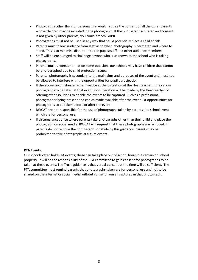- Photography other than for personal use would require the consent of all the other parents whose children may be included in the photograph. If the photograph is shared and consent is not given by other parents, you could breach GDPR.
- Photographs must not be used in any way that could potentially place a child at risk.
- Parents must follow guidance from staff as to when photography is permitted and where to stand. This is to minimise disruption to the pupils/staff and other audience members.
- Staff will be encouraged to challenge anyone who is unknown to the school who is taking photographs.
- Parents must understand that on some occasions our schools may have children that cannot be photographed due to child protection issues.
- Parental photography is secondary to the main aims and purposes of the event and must not be allowed to interfere with the opportunities for pupil participation.
- If the above circumstances arise it will be at the discretion of the Headteacher if they allow photographs to be taken at that event. Consideration will be made by the Headteacher of offering other solutions to enable the events to be captured. Such as a professional photographer being present and copies made available after the event. Or opportunities for photographs to be taken before or after the event.
- BWCAT are not responsible for the use of photographs taken by parents at a school event which are for personal use.
- If circumstances arise where parents take photographs other than their child and place the photograph on social media, BWCAT will request that these photographs are removed. If parents do not remove the photographs or abide by this guidance, parents may be prohibited to take photographs at future events.

#### <span id="page-7-0"></span>**PTA Events**

Our schools often hold PTA events; these can take place out of school hours but remain on school property. It will be the responsibility of the PTA committee to gain consent for photographs to be taken at these events. The Trust guidance is that verbal consent at the time will be sufficient. The PTA committee must remind parents that photographs taken are for personal use and not to be shared on the internet or social media without consent from all captured in that photograph.